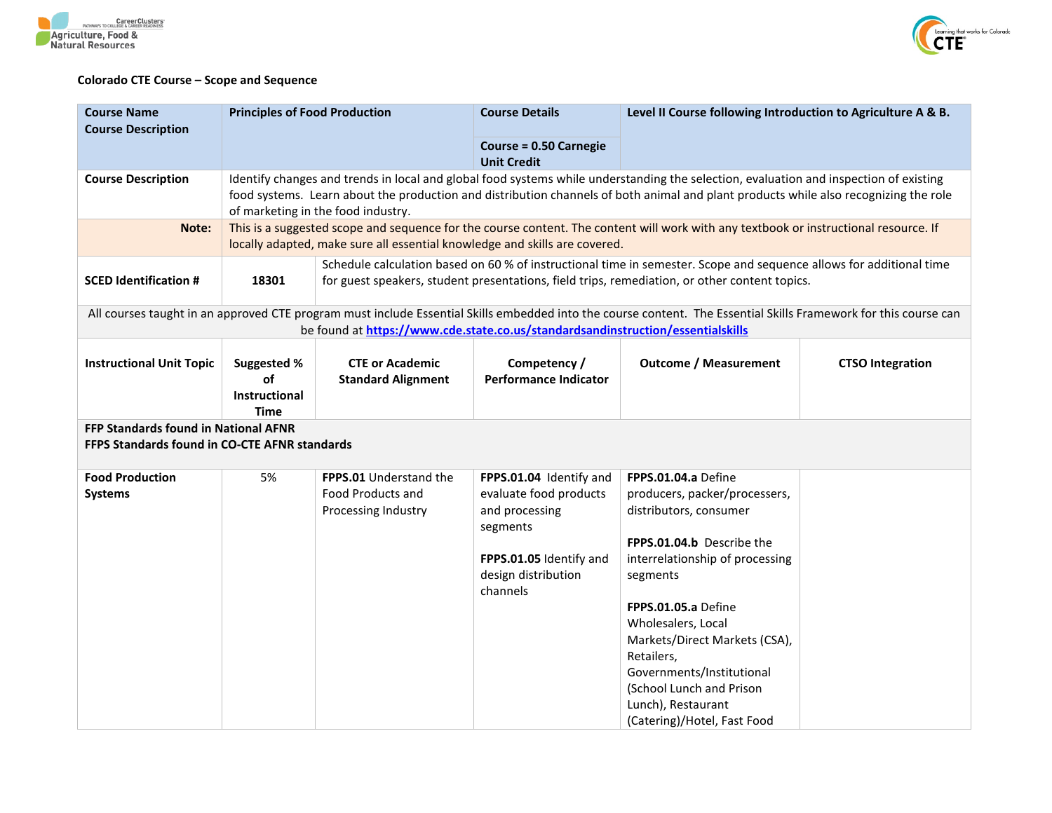



## **Colorado CTE Course – Scope and Sequence**

| <b>Course Name</b><br><b>Course Description</b>                                                                                                                                                                                                     | <b>Principles of Food Production</b>                                                                                                                                                                                                                                                                                |                                                                                                                                                                                                                      | <b>Course Details</b>                                                                                                                         | Level II Course following Introduction to Agriculture A & B.                                                                                                                                                                                                                                                                                                         |                         |  |
|-----------------------------------------------------------------------------------------------------------------------------------------------------------------------------------------------------------------------------------------------------|---------------------------------------------------------------------------------------------------------------------------------------------------------------------------------------------------------------------------------------------------------------------------------------------------------------------|----------------------------------------------------------------------------------------------------------------------------------------------------------------------------------------------------------------------|-----------------------------------------------------------------------------------------------------------------------------------------------|----------------------------------------------------------------------------------------------------------------------------------------------------------------------------------------------------------------------------------------------------------------------------------------------------------------------------------------------------------------------|-------------------------|--|
|                                                                                                                                                                                                                                                     |                                                                                                                                                                                                                                                                                                                     |                                                                                                                                                                                                                      | <b>Course = 0.50 Carnegie</b><br><b>Unit Credit</b>                                                                                           |                                                                                                                                                                                                                                                                                                                                                                      |                         |  |
| <b>Course Description</b>                                                                                                                                                                                                                           | Identify changes and trends in local and global food systems while understanding the selection, evaluation and inspection of existing<br>food systems. Learn about the production and distribution channels of both animal and plant products while also recognizing the role<br>of marketing in the food industry. |                                                                                                                                                                                                                      |                                                                                                                                               |                                                                                                                                                                                                                                                                                                                                                                      |                         |  |
| Note:                                                                                                                                                                                                                                               | This is a suggested scope and sequence for the course content. The content will work with any textbook or instructional resource. If<br>locally adapted, make sure all essential knowledge and skills are covered.                                                                                                  |                                                                                                                                                                                                                      |                                                                                                                                               |                                                                                                                                                                                                                                                                                                                                                                      |                         |  |
| <b>SCED Identification #</b>                                                                                                                                                                                                                        | 18301                                                                                                                                                                                                                                                                                                               | Schedule calculation based on 60 % of instructional time in semester. Scope and sequence allows for additional time<br>for guest speakers, student presentations, field trips, remediation, or other content topics. |                                                                                                                                               |                                                                                                                                                                                                                                                                                                                                                                      |                         |  |
| All courses taught in an approved CTE program must include Essential Skills embedded into the course content. The Essential Skills Framework for this course can<br>be found at https://www.cde.state.co.us/standardsandinstruction/essentialskills |                                                                                                                                                                                                                                                                                                                     |                                                                                                                                                                                                                      |                                                                                                                                               |                                                                                                                                                                                                                                                                                                                                                                      |                         |  |
| <b>Instructional Unit Topic</b>                                                                                                                                                                                                                     | Suggested %<br>of<br>Instructional<br><b>Time</b>                                                                                                                                                                                                                                                                   | <b>CTE or Academic</b><br><b>Standard Alignment</b>                                                                                                                                                                  | Competency /<br><b>Performance Indicator</b>                                                                                                  | <b>Outcome / Measurement</b>                                                                                                                                                                                                                                                                                                                                         | <b>CTSO Integration</b> |  |
| FFP Standards found in National AFNR<br>FFPS Standards found in CO-CTE AFNR standards                                                                                                                                                               |                                                                                                                                                                                                                                                                                                                     |                                                                                                                                                                                                                      |                                                                                                                                               |                                                                                                                                                                                                                                                                                                                                                                      |                         |  |
| <b>Food Production</b><br><b>Systems</b>                                                                                                                                                                                                            | 5%                                                                                                                                                                                                                                                                                                                  | FPPS.01 Understand the<br>Food Products and<br>Processing Industry                                                                                                                                                   | FPPS.01.04 Identify and<br>evaluate food products<br>and processing<br>segments<br>FPPS.01.05 Identify and<br>design distribution<br>channels | FPPS.01.04.a Define<br>producers, packer/processers,<br>distributors, consumer<br>FPPS.01.04.b Describe the<br>interrelationship of processing<br>segments<br>FPPS.01.05.a Define<br>Wholesalers, Local<br>Markets/Direct Markets (CSA),<br>Retailers,<br>Governments/Institutional<br>(School Lunch and Prison<br>Lunch), Restaurant<br>(Catering)/Hotel, Fast Food |                         |  |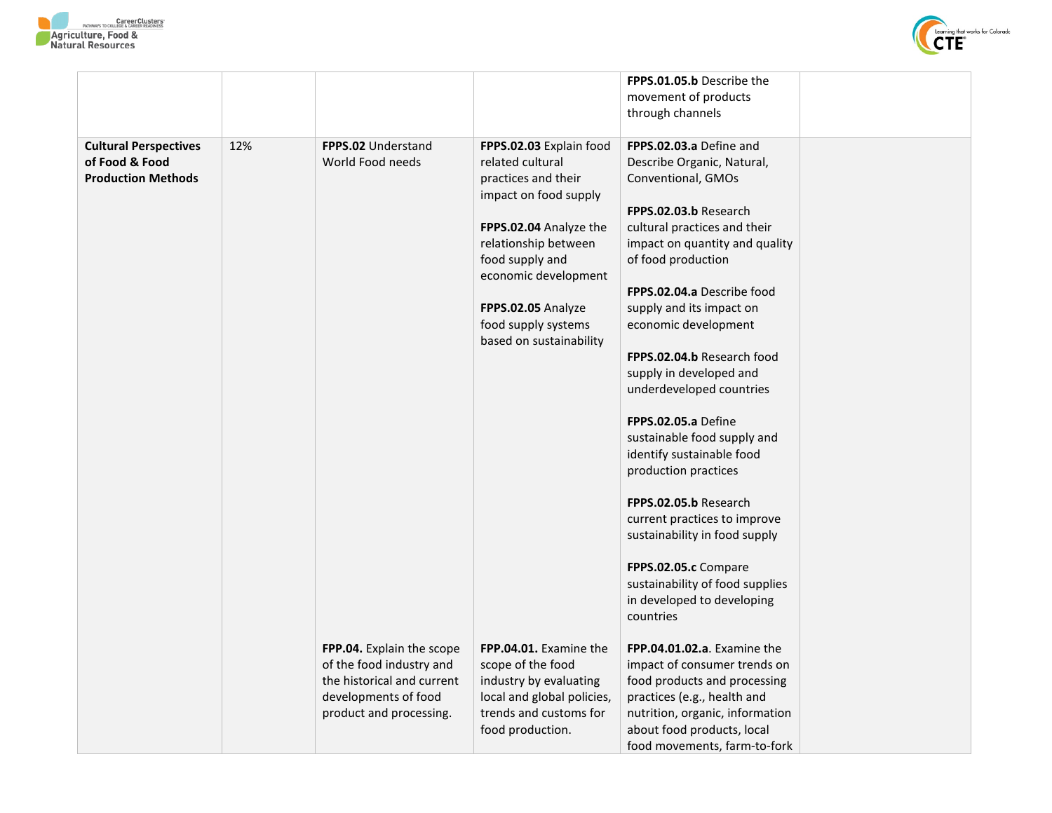



|                              |     |                            |                                         | FPPS.01.05.b Describe the                            |  |
|------------------------------|-----|----------------------------|-----------------------------------------|------------------------------------------------------|--|
|                              |     |                            |                                         | movement of products                                 |  |
|                              |     |                            |                                         | through channels                                     |  |
| <b>Cultural Perspectives</b> | 12% | <b>FPPS.02 Understand</b>  | FPPS.02.03 Explain food                 | FPPS.02.03.a Define and                              |  |
| of Food & Food               |     | World Food needs           | related cultural                        | Describe Organic, Natural,                           |  |
| <b>Production Methods</b>    |     |                            | practices and their                     | Conventional, GMOs                                   |  |
|                              |     |                            | impact on food supply                   |                                                      |  |
|                              |     |                            |                                         | FPPS.02.03.b Research                                |  |
|                              |     |                            | FPPS.02.04 Analyze the                  | cultural practices and their                         |  |
|                              |     |                            | relationship between<br>food supply and | impact on quantity and quality<br>of food production |  |
|                              |     |                            | economic development                    |                                                      |  |
|                              |     |                            |                                         | FPPS.02.04.a Describe food                           |  |
|                              |     |                            | FPPS.02.05 Analyze                      | supply and its impact on                             |  |
|                              |     |                            | food supply systems                     | economic development                                 |  |
|                              |     |                            | based on sustainability                 |                                                      |  |
|                              |     |                            |                                         | FPPS.02.04.b Research food                           |  |
|                              |     |                            |                                         | supply in developed and                              |  |
|                              |     |                            |                                         | underdeveloped countries                             |  |
|                              |     |                            |                                         | FPPS.02.05.a Define                                  |  |
|                              |     |                            |                                         | sustainable food supply and                          |  |
|                              |     |                            |                                         | identify sustainable food                            |  |
|                              |     |                            |                                         | production practices                                 |  |
|                              |     |                            |                                         | FPPS.02.05.b Research                                |  |
|                              |     |                            |                                         | current practices to improve                         |  |
|                              |     |                            |                                         | sustainability in food supply                        |  |
|                              |     |                            |                                         | FPPS.02.05.c Compare                                 |  |
|                              |     |                            |                                         | sustainability of food supplies                      |  |
|                              |     |                            |                                         | in developed to developing                           |  |
|                              |     |                            |                                         | countries                                            |  |
|                              |     | FPP.04. Explain the scope  | FPP.04.01. Examine the                  | FPP.04.01.02.a. Examine the                          |  |
|                              |     | of the food industry and   | scope of the food                       | impact of consumer trends on                         |  |
|                              |     | the historical and current | industry by evaluating                  | food products and processing                         |  |
|                              |     | developments of food       | local and global policies,              | practices (e.g., health and                          |  |
|                              |     | product and processing.    | trends and customs for                  | nutrition, organic, information                      |  |
|                              |     |                            | food production.                        | about food products, local                           |  |
|                              |     |                            |                                         | food movements, farm-to-fork                         |  |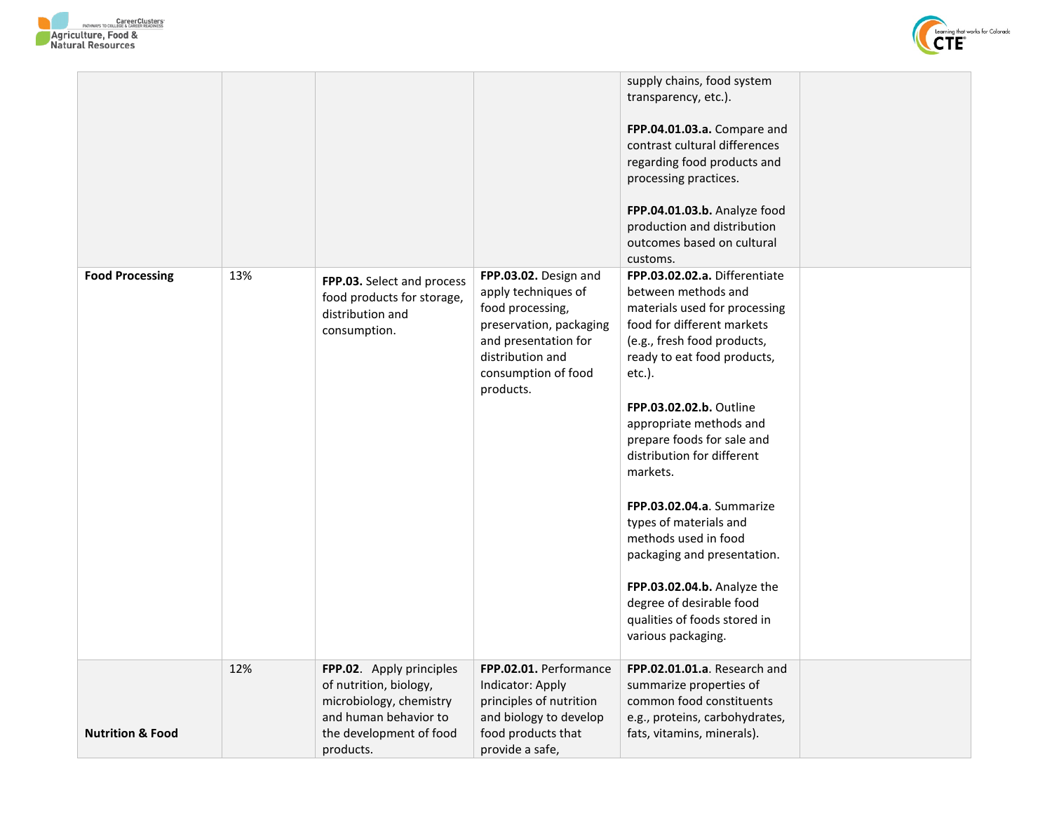



|                             |     |                                                                                              |                                                                                                                                                                             | supply chains, food system<br>transparency, etc.).<br>FPP.04.01.03.a. Compare and<br>contrast cultural differences<br>regarding food products and<br>processing practices.<br>FPP.04.01.03.b. Analyze food<br>production and distribution<br>outcomes based on cultural<br>customs.                                                                                                                                                                                                                                                                      |  |
|-----------------------------|-----|----------------------------------------------------------------------------------------------|-----------------------------------------------------------------------------------------------------------------------------------------------------------------------------|----------------------------------------------------------------------------------------------------------------------------------------------------------------------------------------------------------------------------------------------------------------------------------------------------------------------------------------------------------------------------------------------------------------------------------------------------------------------------------------------------------------------------------------------------------|--|
| <b>Food Processing</b>      | 13% | FPP.03. Select and process<br>food products for storage,<br>distribution and<br>consumption. | FPP.03.02. Design and<br>apply techniques of<br>food processing,<br>preservation, packaging<br>and presentation for<br>distribution and<br>consumption of food<br>products. | FPP.03.02.02.a. Differentiate<br>between methods and<br>materials used for processing<br>food for different markets<br>(e.g., fresh food products,<br>ready to eat food products,<br>etc.).<br>FPP.03.02.02.b. Outline<br>appropriate methods and<br>prepare foods for sale and<br>distribution for different<br>markets.<br>FPP.03.02.04.a. Summarize<br>types of materials and<br>methods used in food<br>packaging and presentation.<br>FPP.03.02.04.b. Analyze the<br>degree of desirable food<br>qualities of foods stored in<br>various packaging. |  |
|                             | 12% | FPP.02. Apply principles<br>of nutrition, biology,                                           | FPP.02.01. Performance<br>Indicator: Apply                                                                                                                                  | FPP.02.01.01.a. Research and<br>summarize properties of                                                                                                                                                                                                                                                                                                                                                                                                                                                                                                  |  |
|                             |     | microbiology, chemistry                                                                      | principles of nutrition                                                                                                                                                     | common food constituents                                                                                                                                                                                                                                                                                                                                                                                                                                                                                                                                 |  |
|                             |     | and human behavior to                                                                        | and biology to develop                                                                                                                                                      | e.g., proteins, carbohydrates,                                                                                                                                                                                                                                                                                                                                                                                                                                                                                                                           |  |
| <b>Nutrition &amp; Food</b> |     | the development of food<br>products.                                                         | food products that<br>provide a safe,                                                                                                                                       | fats, vitamins, minerals).                                                                                                                                                                                                                                                                                                                                                                                                                                                                                                                               |  |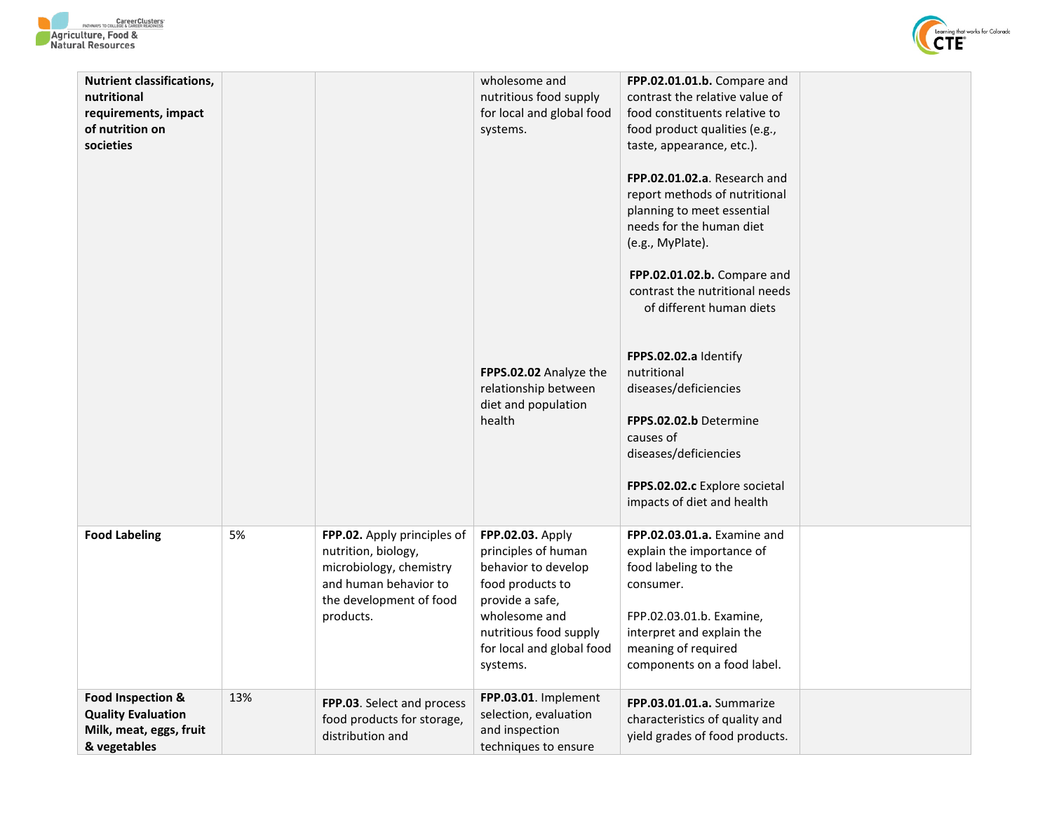



| <b>Nutrient classifications,</b><br>nutritional<br>requirements, impact<br>of nutrition on<br>societies |     |                                                                                                                                                | wholesome and<br>nutritious food supply<br>for local and global food<br>systems.<br>FPPS.02.02 Analyze the<br>relationship between<br>diet and population<br>health                       | FPP.02.01.01.b. Compare and<br>contrast the relative value of<br>food constituents relative to<br>food product qualities (e.g.,<br>taste, appearance, etc.).<br>FPP.02.01.02.a. Research and<br>report methods of nutritional<br>planning to meet essential<br>needs for the human diet<br>(e.g., MyPlate).<br>FPP.02.01.02.b. Compare and<br>contrast the nutritional needs<br>of different human diets<br>FPPS.02.02.a Identify<br>nutritional<br>diseases/deficiencies<br>FPPS.02.02.b Determine<br>causes of<br>diseases/deficiencies<br>FPPS.02.02.c Explore societal<br>impacts of diet and health |  |
|---------------------------------------------------------------------------------------------------------|-----|------------------------------------------------------------------------------------------------------------------------------------------------|-------------------------------------------------------------------------------------------------------------------------------------------------------------------------------------------|----------------------------------------------------------------------------------------------------------------------------------------------------------------------------------------------------------------------------------------------------------------------------------------------------------------------------------------------------------------------------------------------------------------------------------------------------------------------------------------------------------------------------------------------------------------------------------------------------------|--|
| <b>Food Labeling</b>                                                                                    | 5%  | FPP.02. Apply principles of<br>nutrition, biology,<br>microbiology, chemistry<br>and human behavior to<br>the development of food<br>products. | FPP.02.03. Apply<br>principles of human<br>behavior to develop<br>food products to<br>provide a safe,<br>wholesome and<br>nutritious food supply<br>for local and global food<br>systems. | FPP.02.03.01.a. Examine and<br>explain the importance of<br>food labeling to the<br>consumer.<br>FPP.02.03.01.b. Examine,<br>interpret and explain the<br>meaning of required<br>components on a food label.                                                                                                                                                                                                                                                                                                                                                                                             |  |
| Food Inspection &<br><b>Quality Evaluation</b><br>Milk, meat, eggs, fruit<br>& vegetables               | 13% | FPP.03. Select and process<br>food products for storage,<br>distribution and                                                                   | FPP.03.01. Implement<br>selection, evaluation<br>and inspection<br>techniques to ensure                                                                                                   | FPP.03.01.01.a. Summarize<br>characteristics of quality and<br>yield grades of food products.                                                                                                                                                                                                                                                                                                                                                                                                                                                                                                            |  |